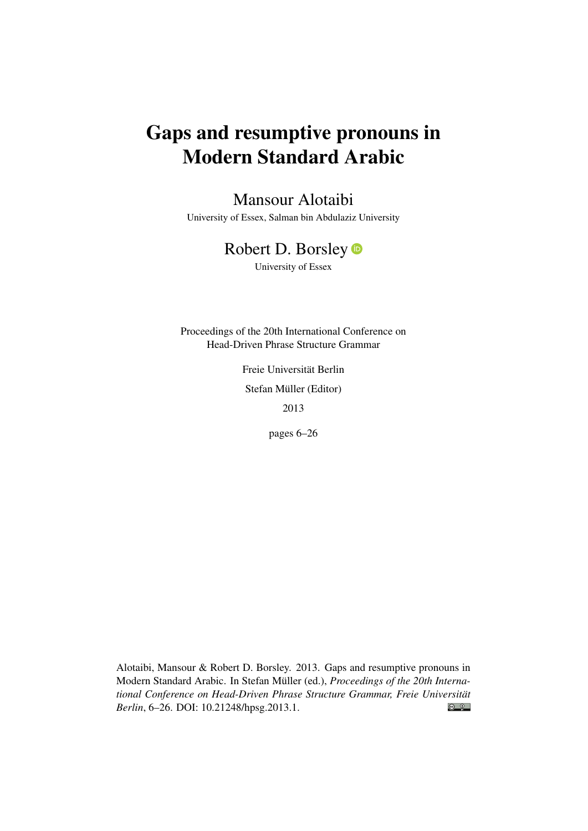# Gaps and resumptive pronouns in Modern Standard Arabic

# Mansour Alotaibi

University of Essex, Salman bin Abdulaziz University

# Robert D. Borsley

University of Essex

Proceedings of the 20th International Conference on Head-Driven Phrase Structure Grammar

> Freie Universität Berlin Stefan Müller (Editor) 2013

> > pages 6–26

Alotaibi, Mansour & Robert D. Borsley. 2013. Gaps and resumptive pronouns in Modern Standard Arabic. In Stefan Müller (ed.), *Proceedings of the 20th International Conference on Head-Driven Phrase Structure Grammar, Freie Universität*  $\bigcirc$   $\bigcirc$ *Berlin*, 6–26. DOI: [10.21248/hpsg.2013.1.](http://doi.org/10.21248/hpsg.2013.1)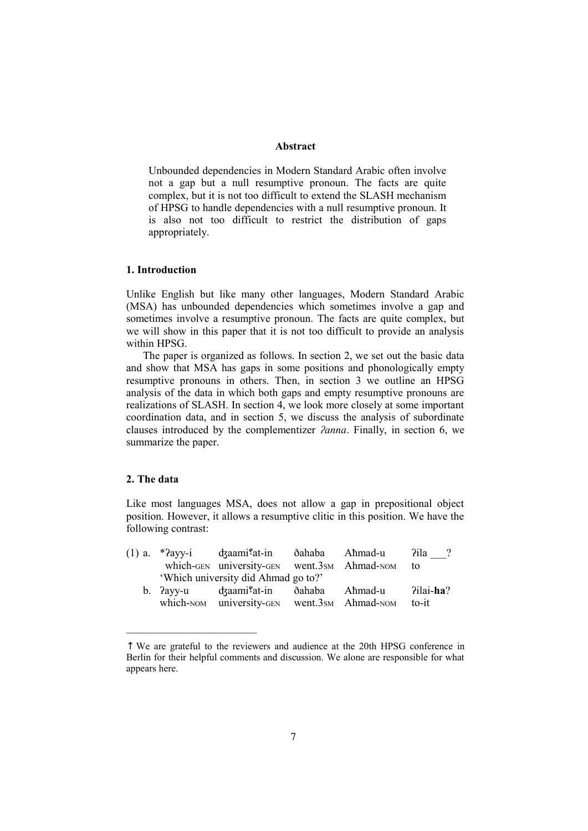### **Abstract**

Unbounded dependencies in Modern Standard Arabic often involve not a gap but a null resumptive pronoun. The facts are quite complex, but it is not too difficult to extend the SLASH mechanism of HPSG to handle dependencies with a null resumptive pronoun. It is also not too difficult to restrict the distribution of gaps appropriately.

## **1. Introduction**

Unlike English but like many other languages, Modern Standard Arabic (MSA) has unbounded dependencies which sometimes involve a gap and sometimes involve a resumptive pronoun. The facts are quite complex, but we will show in this paper that it is not too difficult to provide an analysis within HPSG.

The paper is organized as follows. In section 2, we set out the basic data and show that MSA has gaps in some positions and phonologically empty resumptive pronouns in others. Then, in section 3 we outline an HPSG analysis of the data in which both gaps and empty resumptive pronouns are realizations of SLASH. In section 4, we look more closely at some important coordination data, and in section 5, we discuss the analysis of subordinate clauses introduced by the complementizer *ʔanna*. Finally, in section 6, we summarize the paper.

# **2. The data**

 $\mathcal{L}_\text{max}$ 

Like most languages MSA, does not allow a gap in prepositional object position. However, it allows a resumptive clitic in this position. We have the following contrast:

|  | (1) a. *?ayy-i dzaami <sup>ç</sup> at-in ðahaba Ahmad-u |         | ?ila      |
|--|---------------------------------------------------------|---------|-----------|
|  | which-GEN university-GEN went.3sm Ahmad-NOM             |         | to        |
|  | 'Which university did Ahmad go to?'                     |         |           |
|  | b. Payy-u dzaami <sup>s</sup> at-in ðahaba              | Aħmad-u | ?ilai-ha? |
|  | which-NOM university-GEN went.3sm Ahmad-NOM             |         | to-it     |

<sup>↑</sup> We are grateful to the reviewers and audience at the 20th HPSG conference in Berlin for their helpful comments and discussion. We alone are responsible for what appears here.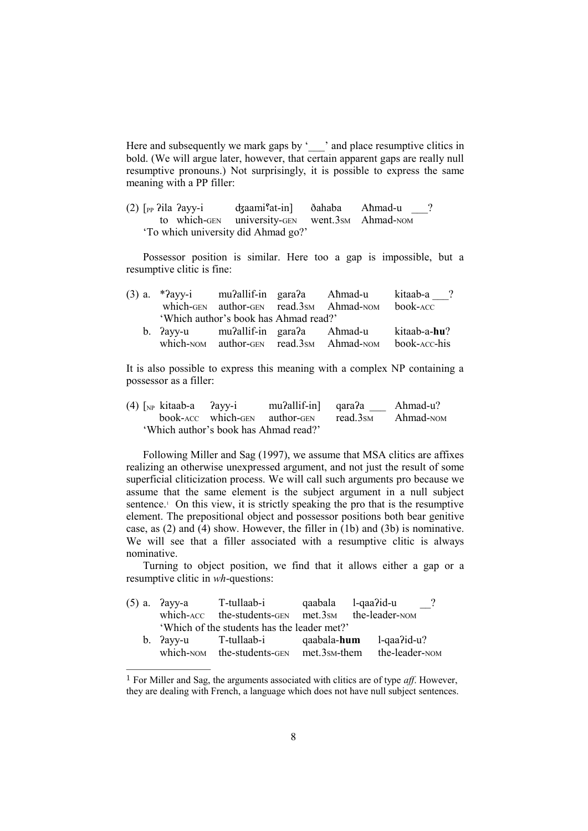Here and subsequently we mark gaps by 'and place resumptive clitics in bold. (We will argue later, however, that certain apparent gaps are really null resumptive pronouns.) Not surprisingly, it is possible to express the same meaning with a PP filler:

(2)  $\lceil$ <sub>PP</sub>  $\chi$ ila  $\chi$ ayy-i d $\chi$ aami $\chi$ at-in]  $\chi$ ahaba Ahmad-u ? to which-GEN university-GEN went.3SM Ahmad-NOM 'To which university did Ahmad go?'

Possessor position is similar. Here too a gap is impossible, but a resumptive clitic is fine:

|  |                                       | (3) a. *?ayy-i mu?allif-in gara?a Ahmad-u | kitaab-a ?   |
|--|---------------------------------------|-------------------------------------------|--------------|
|  |                                       | which-GEN author-GEN read.3sm Ahmad-NOM   | book-acc     |
|  | 'Which author's book has Ahmad read?' |                                           |              |
|  | b. Payy-u muPallif-in garaPa Ahmad-u  |                                           | kitaab-a-hu? |
|  |                                       | which-NOM author-GEN read.3sm Ahmad-NOM   | book-acc-his |

It is also possible to express this meaning with a complex NP containing a possessor as a filler:

|  | $(4)$ [ <sub>NP</sub> kitaab-a ?ayy-i |                                       | mu?allif-in qara?a Ahmad-u?                      |  |
|--|---------------------------------------|---------------------------------------|--------------------------------------------------|--|
|  |                                       |                                       | book-ACC which-GEN author-GEN read.3sm Ahmad-NOM |  |
|  |                                       | 'Which author's book has Ahmad read?' |                                                  |  |

Following Miller and Sag (1997), we assume that MSA clitics are affixes realizing an otherwise unexpressed argument, and not just the result of some superficial cliticization process. We will call such arguments pro because we assume that the same element is the subject argument in a null subject sentence.<sup>1</sup> On this view, it is strictly speaking the pro that is the resumptive element. The prepositional object and possessor positions both bear genitive case, as  $(2)$  and  $(4)$  show. However, the filler in  $(1b)$  and  $(3b)$  is nominative. We will see that a filler associated with a resumptive clitic is always nominative.

Turning to object position, we find that it allows either a gap or a resumptive clitic in *wh*-questions:

| $(5)$ a. $2$ ayy-a | T-tullaab-i                                 | qaabala                   | $l$ -qaa $2$ id-u     | $\cdot$ ?      |
|--------------------|---------------------------------------------|---------------------------|-----------------------|----------------|
|                    | which-ACC the-students-GEN                  | met.3sm                   | the-leader-NOM        |                |
|                    | 'Which of the students has the leader met?' |                           |                       |                |
| $b.$ ?ayy-u        | T-tullaab-i                                 | qaabala-hum               | $l$ -qaa $2id$ -u $2$ |                |
| which-NOM          | the-students-GEN                            | met.3s <sub>M</sub> -them |                       | the-leader-NOM |

<sup>1</sup> For Miller and Sag, the arguments associated with clitics are of type *aff*. However, they are dealing with French, a language which does not have null subject sentences.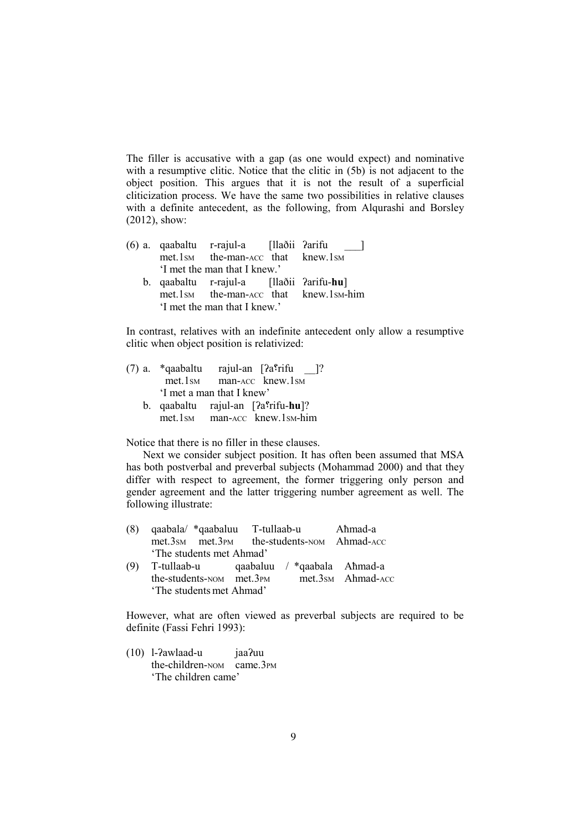The filler is accusative with a gap (as one would expect) and nominative with a resumptive clitic. Notice that the clitic in (5b) is not adjacent to the object position. This argues that it is not the result of a superficial cliticization process. We have the same two possibilities in relative clauses with a definite antecedent, as the following, from Alqurashi and Borsley (2012), show:

(6) a. qaabaltu r-rajul-a [llaðii ʔarifu \_\_\_] met.1sm the-man-ACC that knew.1sm 'I met the man that I knew.' b. qaabaltu r-rajul-a [llaðii ʔarifu-**hu**] met.1SM the-man-ACC that knew.1SM-him 'I met the man that I knew.'

In contrast, relatives with an indefinite antecedent only allow a resumptive clitic when object position is relativized:

(7) a. \*qaabaltu rajul-an  $[2a^e$ frifu ]? met.1sm man-ACC knew.1sm 'I met a man that I knew' b. qaabaltu rajul-an [ʔa؟rifu-**hu**]? met.1SM man-ACC knew.1SM-him

Notice that there is no filler in these clauses.

Next we consider subject position. It has often been assumed that MSA has both postverbal and preverbal subjects (Mohammad 2000) and that they differ with respect to agreement, the former triggering only person and gender agreement and the latter triggering number agreement as well. The following illustrate:

| (8) | qaabala/ *qaabaluu T-tullaab-u             |                             | Aħmad-a           |
|-----|--------------------------------------------|-----------------------------|-------------------|
|     | met.3sm met.3pm the-students-NOM Ahmad-ACC |                             |                   |
|     | 'The students met Ahmad'                   |                             |                   |
| (9) | T-tullaab-u                                | qaabaluu / *qaabala Ahmad-a |                   |
|     | the-students-NOM met.3PM                   |                             | met.3sm Ahmad-ACC |
|     | 'The students met Ahmad'                   |                             |                   |

However, what are often viewed as preverbal subjects are required to be definite (Fassi Fehri 1993):

(10) l-ʔawlaad-u jaaʔuu the-children-NOM came.3PM 'The children came'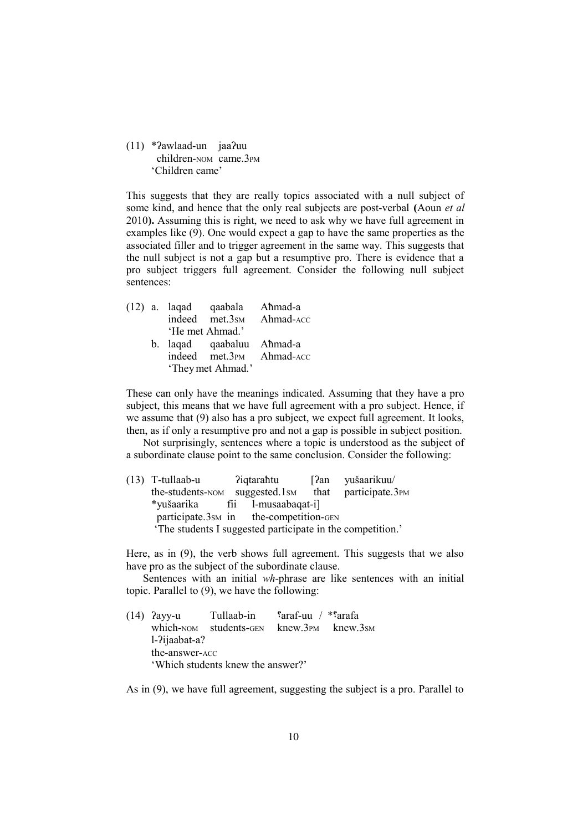(11) \*ʔawlaad-un jaaʔuu children-NOM came.3PM 'Children came'

This suggests that they are really topics associated with a null subject of some kind, and hence that the only real subjects are post-verbal **(**Aoun *et al* 2010**).** Assuming this is right, we need to ask why we have full agreement in examples like (9). One would expect a gap to have the same properties as the associated filler and to trigger agreement in the same way. This suggests that the null subject is not a gap but a resumptive pro. There is evidence that a pro subject triggers full agreement. Consider the following null subject sentences:

|                          |  |                 | (12) a. laqad qaabala Ahmad-a |                          |  |  |  |
|--------------------------|--|-----------------|-------------------------------|--------------------------|--|--|--|
|                          |  |                 |                               | indeed met.3sm Ahmad-ACC |  |  |  |
|                          |  | 'He met Ahmad.' |                               |                          |  |  |  |
|                          |  |                 | b. laqad qaabaluu Ahmad-a     |                          |  |  |  |
| indeed met.3PM Ahmad-ACC |  |                 |                               |                          |  |  |  |
| 'They met Ahmad.'        |  |                 |                               |                          |  |  |  |

These can only have the meanings indicated. Assuming that they have a pro subject, this means that we have full agreement with a pro subject. Hence, if we assume that (9) also has a pro subject, we expect full agreement. It looks, then, as if only a resumptive pro and not a gap is possible in subject position.

Not surprisingly, sentences where a topic is understood as the subject of a subordinate clause point to the same conclusion. Consider the following:

(13) T-tullaab-u ʔiqtaraħtu [ʔan yušaarikuu/ the-students-NOM suggested.1SM that participate.3PM \*yušaarika fii l-musaabaqat-i] participate.3sm in the-competition-GEN 'The students I suggested participate in the competition.'

Here, as in (9), the verb shows full agreement. This suggests that we also have pro as the subject of the subordinate clause.

Sentences with an initial *wh*-phrase are like sentences with an initial topic. Parallel to (9), we have the following:

|  | $(14)$ ?ayy-u                     | Tullaab-in             | $\frac{\gamma}{2}$ araf-uu / * $\frac{\gamma}{2}$ arafa |                                    |  |  |
|--|-----------------------------------|------------------------|---------------------------------------------------------|------------------------------------|--|--|
|  |                                   | which-NOM students-GEN |                                                         | $k$ new.3 $p_M$ knew.3 $\text{SM}$ |  |  |
|  | $l$ - $2$ ijaabat-a?              |                        |                                                         |                                    |  |  |
|  | the-answer-ACC                    |                        |                                                         |                                    |  |  |
|  | 'Which students knew the answer?' |                        |                                                         |                                    |  |  |

As in (9), we have full agreement, suggesting the subject is a pro. Parallel to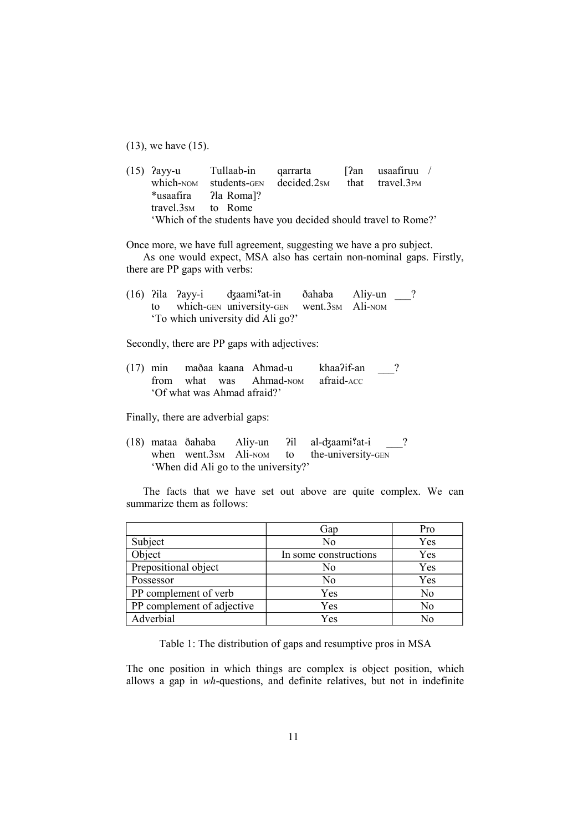(13), we have (15).

(15) ʔayy-u Tullaab-in qarrarta [ʔan usaafiruu / which-NOM students-GEN decided.2SM that travel.3PM \*usaafira ʔla Roma]? travel.3SM to Rome 'Which of the students have you decided should travel to Rome?'

Once more, we have full agreement, suggesting we have a pro subject. As one would expect, MSA also has certain non-nominal gaps. Firstly, there are PP gaps with verbs:

(16) ʔila ʔayy-i ʤaami؟at-in ðahaba Aliy-un \_\_\_? to which-GEN university-GEN went.3SM Ali-NOM 'To which university did Ali go?'

Secondly, there are PP gaps with adjectives:

(17) min maðaa kaana Aħmad-u khaaʔif-an \_\_\_? from what was Ahmad-NOM afraid-ACC 'Of what was Ahmad afraid?'

Finally, there are adverbial gaps:

 $(18)$  mataa ðahaba Aliy-un  $2i$ l al-d $\frac{1}{3}$ at-i ? when went.3sm Ali-NOM to the-university-GEN 'When did Ali go to the university?'

The facts that we have set out above are quite complex. We can summarize them as follows:

|                            | Gap                   | Pro |
|----------------------------|-----------------------|-----|
| Subject                    | No                    | Yes |
| Object                     | In some constructions | Yes |
| Prepositional object       | No                    | Yes |
| Possessor                  | No                    | Yes |
| PP complement of verb      | Yes                   | No  |
| PP complement of adjective | Yes                   | No  |
| Adverbial                  | Yes                   | N٥  |

Table 1: The distribution of gaps and resumptive pros in MSA

The one position in which things are complex is object position, which allows a gap in *wh*-questions, and definite relatives, but not in indefinite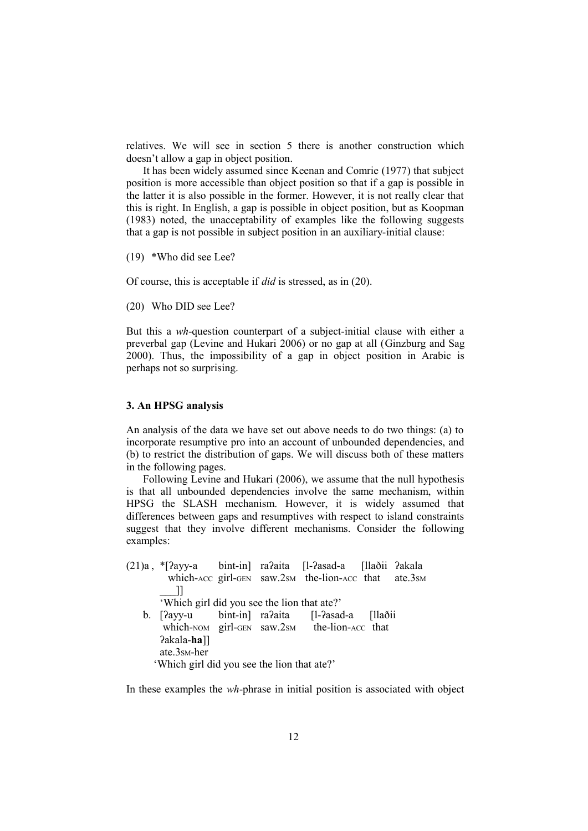relatives. We will see in section 5 there is another construction which doesn't allow a gap in object position.

It has been widely assumed since Keenan and Comrie (1977) that subject position is more accessible than object position so that if a gap is possible in the latter it is also possible in the former. However, it is not really clear that this is right. In English, a gap is possible in object position, but as Koopman (1983) noted, the unacceptability of examples like the following suggests that a gap is not possible in subject position in an auxiliary-initial clause:

(19) \*Who did see Lee?

Of course, this is acceptable if *did* is stressed, as in (20).

(20) Who DID see Lee?

But this a *wh*-question counterpart of a subject-initial clause with either a preverbal gap (Levine and Hukari 2006) or no gap at all (Ginzburg and Sag 2000). Thus, the impossibility of a gap in object position in Arabic is perhaps not so surprising.

#### **3. An HPSG analysis**

An analysis of the data we have set out above needs to do two things: (a) to incorporate resumptive pro into an account of unbounded dependencies, and (b) to restrict the distribution of gaps. We will discuss both of these matters in the following pages.

Following Levine and Hukari (2006), we assume that the null hypothesis is that all unbounded dependencies involve the same mechanism, within HPSG the SLASH mechanism. However, it is widely assumed that differences between gaps and resumptives with respect to island constraints suggest that they involve different mechanisms. Consider the following examples:

(21)a , \*[ʔayy-a bint-in] raʔaita [l-ʔasad-a [llaðii ʔakala which-ACC girl-GEN saw.2sm the-lion-ACC that ate.3sm  $\overline{\phantom{a}}$ 'Which girl did you see the lion that ate?' b. [?ayy-u bint-in] ra?aita [l-?asad-a [llaðii which-NOM girl-GEN saw.2sM the-lion-ACC that ʔakala-**ha**]] ate.3SM-her

'Which girl did you see the lion that ate?'

In these examples the *wh*-phrase in initial position is associated with object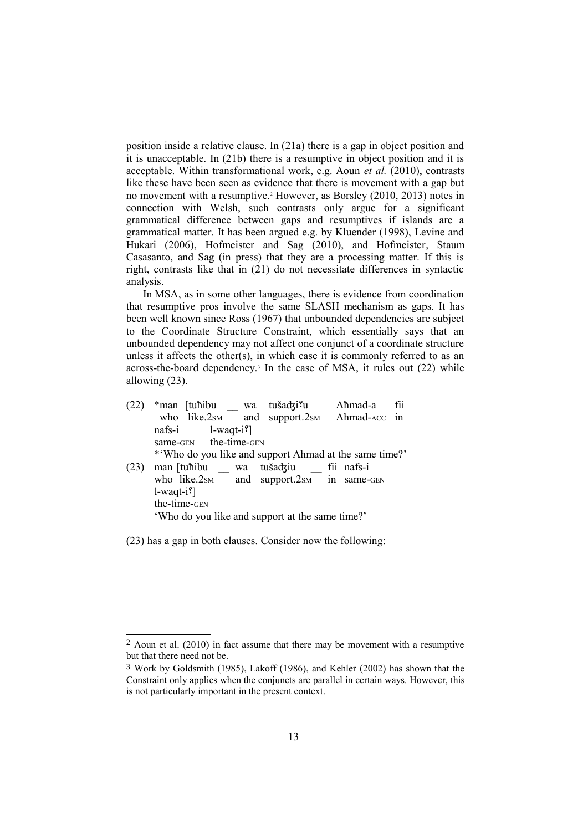position inside a relative clause. In (21a) there is a gap in object position and it is unacceptable. In (21b) there is a resumptive in object position and it is acceptable. Within transformational work, e.g. Aoun *et al.* (2010), contrasts like these have been seen as evidence that there is movement with a gap but no movement with a resumptive.<sup>2</sup> However, as Borsley (2010, 2013) notes in connection with Welsh, such contrasts only argue for a significant grammatical difference between gaps and resumptives if islands are a grammatical matter. It has been argued e.g. by Kluender (1998), Levine and Hukari (2006), Hofmeister and Sag (2010), and Hofmeister, Staum Casasanto, and Sag (in press) that they are a processing matter. If this is right, contrasts like that in (21) do not necessitate differences in syntactic analysis.

In MSA, as in some other languages, there is evidence from coordination that resumptive pros involve the same SLASH mechanism as gaps. It has been well known since Ross (1967) that unbounded dependencies are subject to the Coordinate Structure Constraint, which essentially says that an unbounded dependency may not affect one conjunct of a coordinate structure unless it affects the other(s), in which case it is commonly referred to as an across-the-board dependency.<sup>3</sup> In the case of MSA, it rules out (22) while allowing (23).

| (22) | *man [tuhibu wa                                        | tušadzi <sup>s</sup> u | Ahmad-a      | fii |
|------|--------------------------------------------------------|------------------------|--------------|-----|
|      | who like. $2_{SM}$ and support. $2_{SM}$               |                        | Ahmad-ACC in |     |
|      | $1$ -waqt-i <sup>?</sup> ]<br>nafs-i                   |                        |              |     |
|      | same-GEN the-time-GEN                                  |                        |              |     |
|      | * Who do you like and support Ahmad at the same time?' |                        |              |     |
| (23) | man [tuhibu wa                                         | tušadziu fii nafs-i    |              |     |
|      | who like.2sm and support.2sm in same-GEN               |                        |              |     |
|      | $1-waqt-i$ ?                                           |                        |              |     |
|      | the-time-GEN                                           |                        |              |     |
|      | 'Who do you like and support at the same time?'        |                        |              |     |

(23) has a gap in both clauses. Consider now the following:

 $2$  Aoun et al. (2010) in fact assume that there may be movement with a resumptive but that there need not be.

<sup>3</sup> Work by Goldsmith (1985), Lakoff (1986), and Kehler (2002) has shown that the Constraint only applies when the conjuncts are parallel in certain ways. However, this is not particularly important in the present context.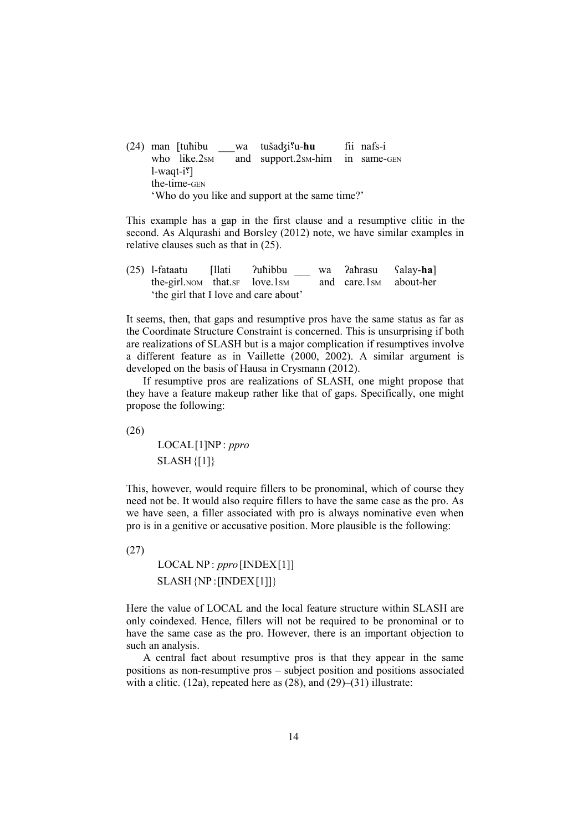(24) man [tuħibu \_\_\_wa tušaʤi؟u-**hu** fii nafs-i who like.2sm and support.2sm-him in same-GEN l-waqt-i؟[ the-time-GEN 'Who do you like and support at the same time?'

This example has a gap in the first clause and a resumptive clitic in the second. As Alqurashi and Borsley (2012) note, we have similar examples in relative clauses such as that in (25).

(25) l-fataatu [llati ʔuħibbu \_\_\_ wa ʔaħrasu ʕalay-**ha**] the-girl.NOM that.SF love.1SM and care.1SM about-her 'the girl that I love and care about'

It seems, then, that gaps and resumptive pros have the same status as far as the Coordinate Structure Constraint is concerned. This is unsurprising if both are realizations of SLASH but is a major complication if resumptives involve a different feature as in Vaillette (2000, 2002). A similar argument is developed on the basis of Hausa in Crysmann (2012).

If resumptive pros are realizations of SLASH, one might propose that they have a feature makeup rather like that of gaps. Specifically, one might propose the following:

(26)

 $\overline{1}$ L  $\downarrow$ L L L  $SLASH$ {[1]} LOCAL[1]NP : *ppro*

This, however, would require fillers to be pronominal, which of course they need not be. It would also require fillers to have the same case as the pro. As we have seen, a filler associated with pro is always nominative even when pro is in a genitive or accusative position. More plausible is the following:

(27) LOCAL NP : *ppro*[INDEX[1]] L SLASH{NP :[INDEX[1]]}

Here the value of LOCAL and the local feature structure within SLASH are only coindexed. Hence, fillers will not be required to be pronominal or to have the same case as the pro. However, there is an important objection to such an analysis.

 $\mathbf{I}$ L

A central fact about resumptive pros is that they appear in the same positions as non-resumptive pros – subject position and positions associated with a clitic.  $(12a)$ , repeated here as  $(28)$ , and  $(29)$ – $(31)$  illustrate: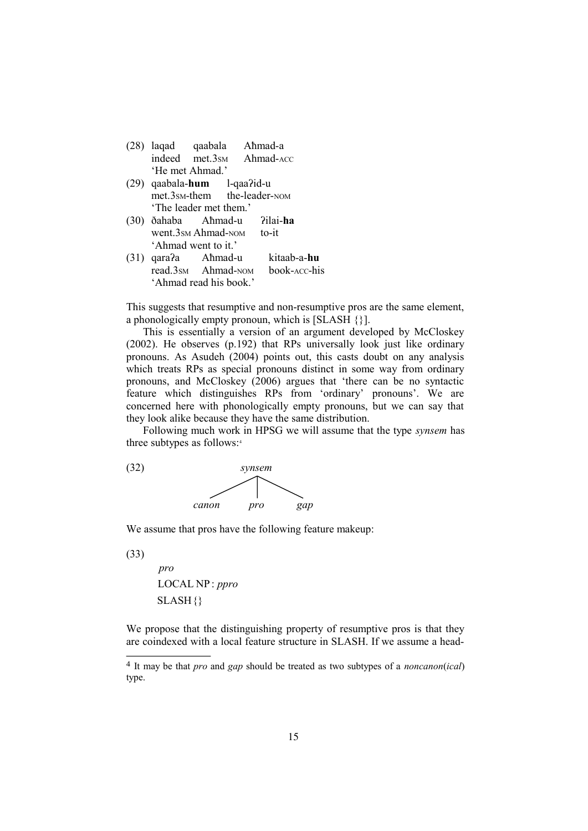| $(28)$ lagad    | qaabala        | Aħmad-a   |
|-----------------|----------------|-----------|
|                 | indeed met.3sm | Ahmad-ACC |
| 'He met Ahmad.' |                |           |

- (29) qaabala-**hum** l-qaaʔid-u met.3SM-them the-leader-NOM 'The leader met them.'
- (30) ðahaba Aħmad-u ʔilai-**ha** went.3sm Ahmad-NOM to-it 'Ahmad went to it.'
- (31) qaraʔa Aħmad-u kitaab-a-**hu** read.3sm Ahmad-NOM 'Ahmad read his book.'

This suggests that resumptive and non-resumptive pros are the same element, a phonologically empty pronoun, which is [SLASH {}].

This is essentially a version of an argument developed by McCloskey (2002). He observes (p.192) that RPs universally look just like ordinary pronouns. As Asudeh (2004) points out, this casts doubt on any analysis which treats RPs as special pronouns distinct in some way from ordinary pronouns, and McCloskey (2006) argues that 'there can be no syntactic feature which distinguishes RPs from 'ordinary' pronouns'. We are concerned here with phonologically empty pronouns, but we can say that they look alike because they have the same distribution.

Following much work in HPSG we will assume that the type *synsem* has three subtypes as follows:<sup>4</sup>



We assume that pros have the following feature makeup:

(33)

 $\mathsf{l}$  $\overline{1}$  $\overline{1}$ L  $\mathbf{I}$ L L L L L SLASH{} LOCAL NP : *ppro pro*

We propose that the distinguishing property of resumptive pros is that they are coindexed with a local feature structure in SLASH. If we assume a head-

<sup>4</sup> It may be that *pro* and *gap* should be treated as two subtypes of a *noncanon*(*ical*) type.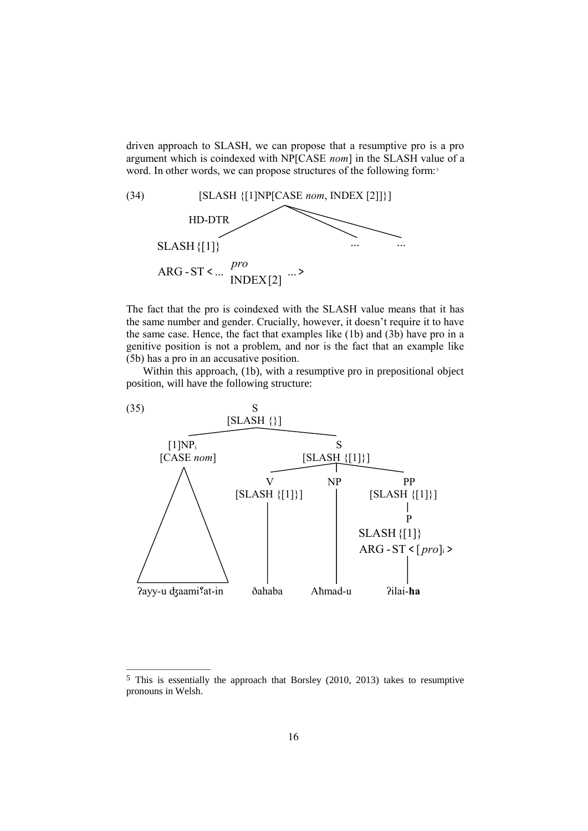driven approach to SLASH, we can propose that a resumptive pro is a pro argument which is coindexed with NP[CASE *nom*] in the SLASH value of a word. In other words, we can propose structures of the following form:<sup>5</sup>



The fact that the pro is coindexed with the SLASH value means that it has the same number and gender. Crucially, however, it doesn't require it to have the same case. Hence, the fact that examples like (1b) and (3b) have pro in a genitive position is not a problem, and nor is the fact that an example like (5b) has a pro in an accusative position.

Within this approach, (1b), with a resumptive pro in prepositional object position, will have the following structure:



<sup>5</sup> This is essentially the approach that Borsley (2010, 2013) takes to resumptive pronouns in Welsh.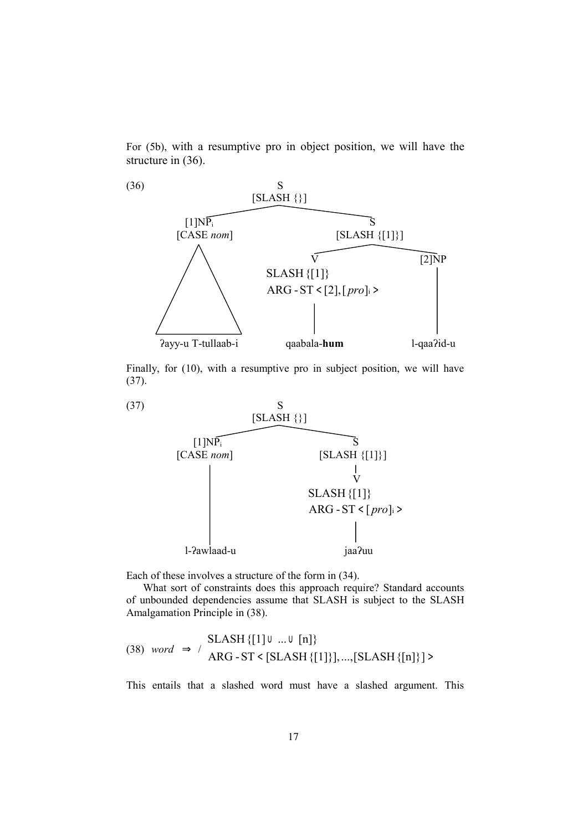For (5b), with a resumptive pro in object position, we will have the structure in (36).



Finally, for (10), with a resumptive pro in subject position, we will have (37).



Each of these involves a structure of the form in (34).

What sort of constraints does this approach require? Standard accounts of unbounded dependencies assume that SLASH is subject to the SLASH Amalgamation Principle in (38).

$$
(38) word \Rightarrow / \left[ SLASH \{ [1] \cup ... \cup [n] \} \right] \text{ARG-ST} < [SLASH \{ [1] \}], ..., [SLASH \{ [n] \}] >
$$

This entails that a slashed word must have a slashed argument. This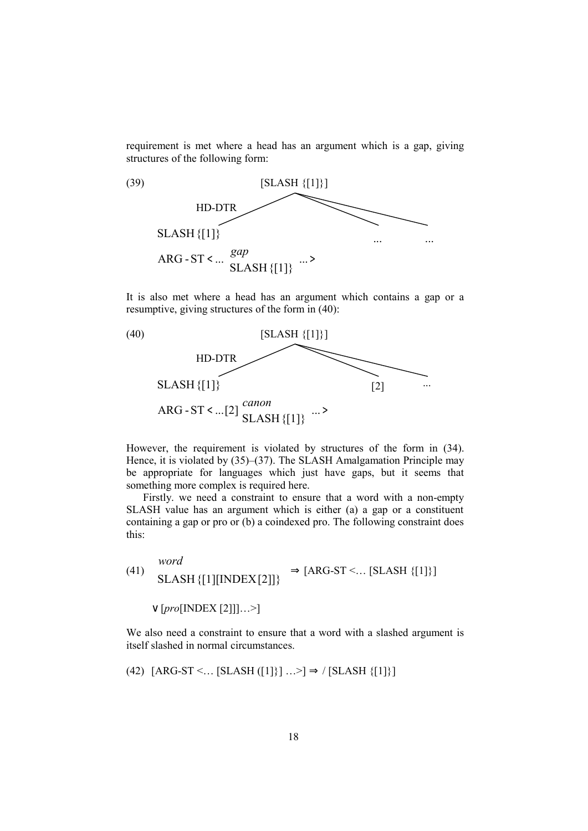requirement is met where a head has an argument which is a gap, giving structures of the following form:



It is also met where a head has an argument which contains a gap or a resumptive, giving structures of the form in (40):



However, the requirement is violated by structures of the form in (34). Hence, it is violated by (35)–(37). The SLASH Amalgamation Principle may be appropriate for languages which just have gaps, but it seems that something more complex is required here.

Firstly. we need a constraint to ensure that a word with a non-empty SLASH value has an argument which is either (a) a gap or a constituent containing a gap or pro or (b) a coindexed pro. The following constraint does this:

(41) 
$$
\begin{bmatrix} word \\ SLASH \{[1][INDEX[2]]\} \end{bmatrix} \Rightarrow [ARG-ST < ... [SLASH \{[1]\}]
$$

$$
\lor [pro[INDEX [2]]] ... \geq ]
$$

We also need a constraint to ensure that a word with a slashed argument is itself slashed in normal circumstances.

(42) [ARG-ST 
$$
\dots
$$
 [SLASH ([1]]] ... >]  $\Rightarrow$  / [SLASH [{1}])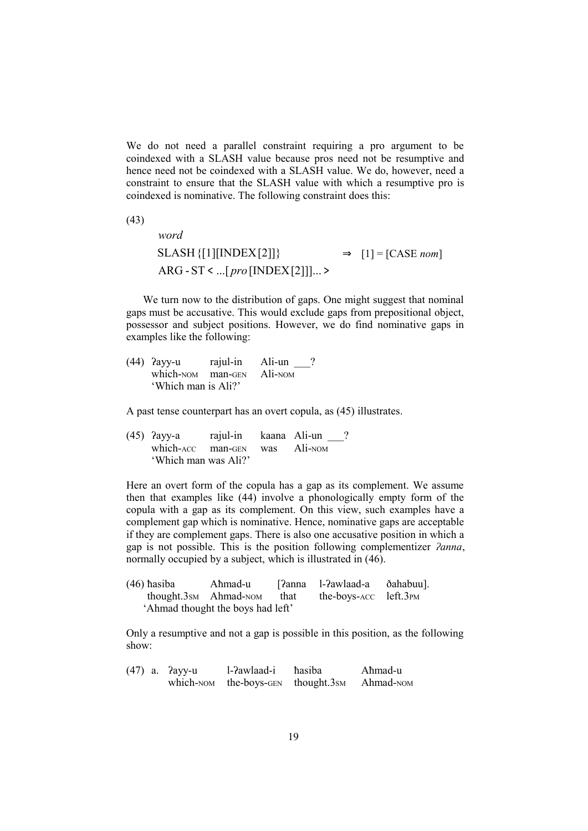We do not need a parallel constraint requiring a pro argument to be coindexed with a SLASH value because pros need not be resumptive and hence need not be coindexed with a SLASH value. We do, however, need a constraint to ensure that the SLASH value with which a resumptive pro is coindexed is nominative. The following constraint does this:

(43)

 $\overline{\phantom{a}}$  $\overline{\phantom{a}}$  $\overline{\phantom{a}}$ L  $\overline{\phantom{a}}$ L L L L L  $ARG - ST & . . . [ pro [INDEX[2]]] ... >$ SLASH{[1][INDEX[2]]} *pro word*  $\Rightarrow$  [1] = [CASE *nom*]

We turn now to the distribution of gaps. One might suggest that nominal gaps must be accusative. This would exclude gaps from prepositional object, possessor and subject positions. However, we do find nominative gaps in examples like the following:

(44) Payy-u rajul-in Ali-un \_\_\_ which-NOM man-GEN Ali-NOM 'Which man is Ali?'

A past tense counterpart has an overt copula, as (45) illustrates.

(45) ʔayy-a rajul-in kaana Ali-un \_\_\_? which-ACC man-GEN was Ali-NOM 'Which man was Ali?'

Here an overt form of the copula has a gap as its complement. We assume then that examples like (44) involve a phonologically empty form of the copula with a gap as its complement. On this view, such examples have a complement gap which is nominative. Hence, nominative gaps are acceptable if they are complement gaps. There is also one accusative position in which a gap is not possible. This is the position following complementizer *ʔanna*, normally occupied by a subject, which is illustrated in (46).

| $(46)$ hasiba | Aħmad-u                           | [?anna 1-?awlaad-a          | ðahabuu]. |
|---------------|-----------------------------------|-----------------------------|-----------|
|               | thought.3sm Ahmad-NOM that        | the-boys- $ACC$ left.3 $PM$ |           |
|               | 'Ahmad thought the boys had left' |                             |           |

Only a resumptive and not a gap is possible in this position, as the following show:

|  | (47) a. ?ayy-u | l-?awlaad-i                        | hasiba | Ahmad-u   |
|--|----------------|------------------------------------|--------|-----------|
|  |                | which-NOM the-boys-GEN thought.3sm |        | Ahmad-NOM |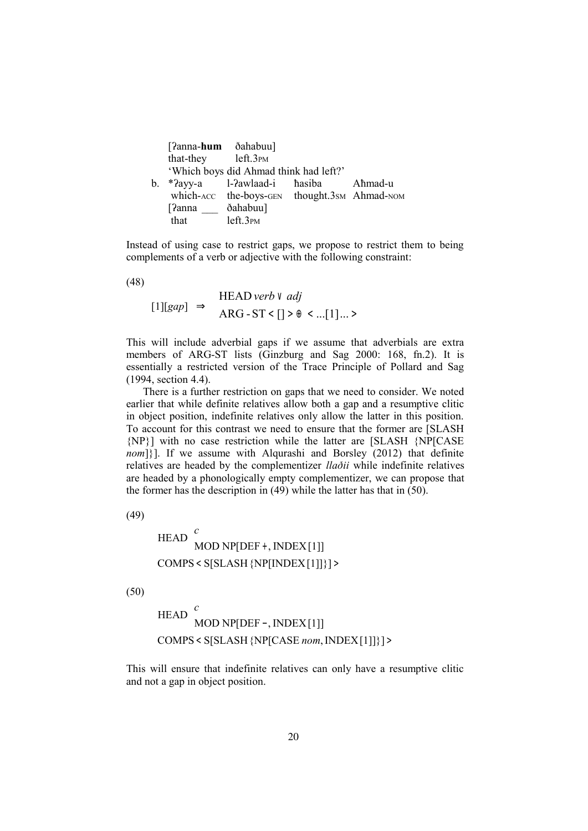|    | $[2anna-hum \deltaahabuu]$             |                                              |  |         |  |
|----|----------------------------------------|----------------------------------------------|--|---------|--|
|    | that-they left.3 <sub>PM</sub>         |                                              |  |         |  |
|    | 'Which boys did Ahmad think had left?' |                                              |  |         |  |
| b. |                                        | *?ayy-a l-?awlaad-i hasiba                   |  | Aħmad-u |  |
|    |                                        | which-ACC the-boys-GEN thought.3sm Ahmad-NOM |  |         |  |
|    | [?anna                                 | ðahabuu]                                     |  |         |  |
|    | that                                   | $left.3$ $PM$                                |  |         |  |

Instead of using case to restrict gaps, we propose to restrict them to being complements of a verb or adjective with the following constraint:

(48)

$$
[1][gap] \Rightarrow \begin{bmatrix} \text{HEAD} \, verb \vee \, adj \\ \text{ARG-ST} \leq [] > \theta \leq \dots [1] \dots \end{bmatrix}
$$

This will include adverbial gaps if we assume that adverbials are extra members of ARG-ST lists (Ginzburg and Sag 2000: 168, fn.2). It is essentially a restricted version of the Trace Principle of Pollard and Sag (1994, section 4.4).

There is a further restriction on gaps that we need to consider. We noted earlier that while definite relatives allow both a gap and a resumptive clitic in object position, indefinite relatives only allow the latter in this position. To account for this contrast we need to ensure that the former are [SLASH {NP}] with no case restriction while the latter are [SLASH {NP[CASE *nom*]}]. If we assume with Algurashi and Borsley (2012) that definite relatives are headed by the complementizer *llaðii* while indefinite relatives are headed by a phonologically empty complementizer, we can propose that the former has the description in (49) while the latter has that in (50).

(49)

$$
\begin{bmatrix} \n\text{HEAD} & c \\
\text{MOD NP[DEF + , INDEX[1]]} \\
\text{COMPS < S[SLASH {NP[INDEX[1]]}]}\n\end{bmatrix}
$$

(50)

$$
\begin{bmatrix} \n\text{HEAD} \n\begin{bmatrix} c \\ \text{MOD NP[DEF-, INDEX[1]]} \n\end{bmatrix} \\
\text{COMPS} < \text{S[SLASH {NP[CASE nom, INDEX[1]]}} \n\end{bmatrix}
$$

This will ensure that indefinite relatives can only have a resumptive clitic and not a gap in object position.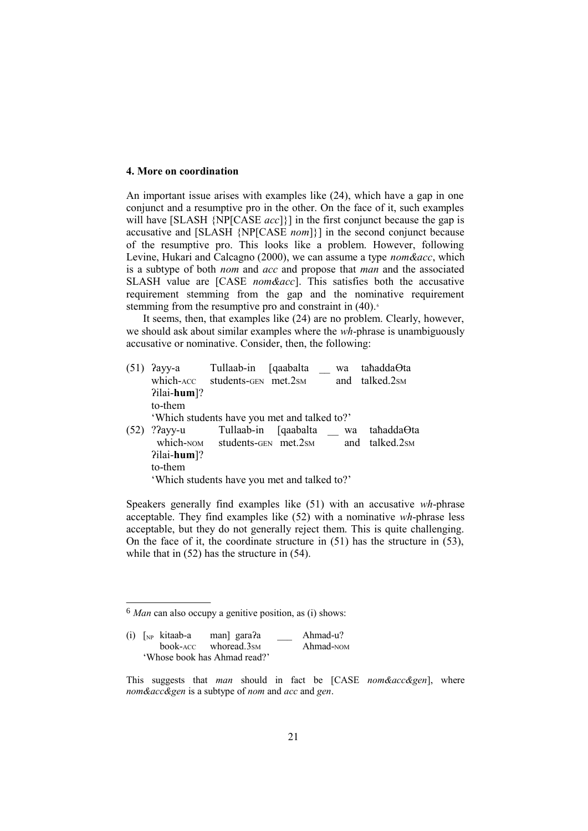#### **4. More on coordination**

An important issue arises with examples like (24), which have a gap in one conjunct and a resumptive pro in the other. On the face of it, such examples will have [SLASH {NP[CASE *acc*]}] in the first conjunct because the gap is accusative and [SLASH {NP[CASE *nom*]}] in the second conjunct because of the resumptive pro. This looks like a problem. However, following Levine, Hukari and Calcagno (2000), we can assume a type *nom&acc*, which is a subtype of both *nom* and *acc* and propose that *man* and the associated SLASH value are [CASE *nom&acc*]. This satisfies both the accusative requirement stemming from the gap and the nominative requirement stemming from the resumptive pro and constraint in  $(40)$ .<sup>6</sup>

It seems, then, that examples like (24) are no problem. Clearly, however, we should ask about similar examples where the *wh*-phrase is unambiguously accusative or nominative. Consider, then, the following:

| (51) | Payy-a                                       | Tullaab-in                                    | [qaabalta]            | wa | tahaddaOta                 |  |  |
|------|----------------------------------------------|-----------------------------------------------|-----------------------|----|----------------------------|--|--|
|      |                                              | which-ACC students-GEN met.2sM                |                       |    | and talked.2s <sub>M</sub> |  |  |
|      | $P1$ ilai-hum]?                              |                                               |                       |    |                            |  |  |
|      | to-them                                      |                                               |                       |    |                            |  |  |
|      |                                              | 'Which students have you met and talked to?'  |                       |    |                            |  |  |
| (52) | ? $2$ ayy-u                                  | which-NOM students-GEN met.2sm and talked.2sm | Tullaab-in [qaabalta] | wa | taħadda⊖ta                 |  |  |
|      | $P1$ ilai-hum]?                              |                                               |                       |    |                            |  |  |
|      | to-them                                      |                                               |                       |    |                            |  |  |
|      | 'Which students have you met and talked to?' |                                               |                       |    |                            |  |  |

Speakers generally find examples like (51) with an accusative *wh*-phrase acceptable. They find examples like (52) with a nominative *wh*-phrase less acceptable, but they do not generally reject them. This is quite challenging. On the face of it, the coordinate structure in (51) has the structure in (53), while that in  $(52)$  has the structure in  $(54)$ .

<sup>6</sup> *Man* can also occupy a genitive position, as (i) shows:

<sup>(</sup>i) [NP kitaab-a man] garaʔa \_\_\_ Ahmad-u? book-ACC whoread.3SM Ahmad-NOM 'Whose book has Ahmad read?'

This suggests that *man* should in fact be [CASE *nom&acc&gen*], where *nom&acc&gen* is a subtype of *nom* and *acc* and *gen*.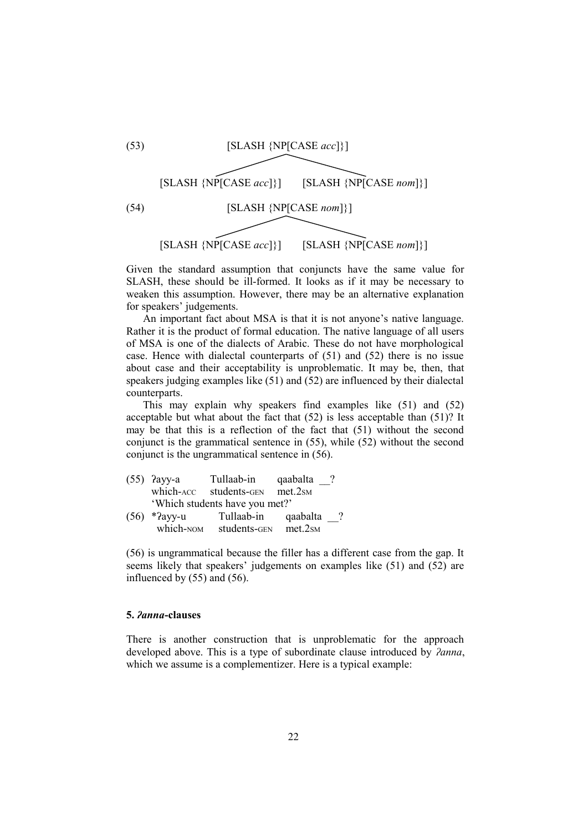

Given the standard assumption that conjuncts have the same value for SLASH, these should be ill-formed. It looks as if it may be necessary to weaken this assumption. However, there may be an alternative explanation for speakers' judgements.

An important fact about MSA is that it is not anyone's native language. Rather it is the product of formal education. The native language of all users of MSA is one of the dialects of Arabic. These do not have morphological case. Hence with dialectal counterparts of (51) and (52) there is no issue about case and their acceptability is unproblematic. It may be, then, that speakers judging examples like (51) and (52) are influenced by their dialectal counterparts.

This may explain why speakers find examples like (51) and (52) acceptable but what about the fact that (52) is less acceptable than (51)? It may be that this is a reflection of the fact that (51) without the second conjunct is the grammatical sentence in (55), while (52) without the second conjunct is the ungrammatical sentence in (56).

|                                | $(55)$ ?ayy-a | Tullaab-in   | qaabalta |           |
|--------------------------------|---------------|--------------|----------|-----------|
|                                | which-ACC     | students-GEN | met.2sm  |           |
| 'Which students have you met?' |               |              |          |           |
| (56)                           | *?ayy-u       | Tullaab-in   | qaabalta | $\cdot$ ? |
|                                | which-NOM     | students-GEN | met.2sm  |           |

(56) is ungrammatical because the filler has a different case from the gap. It seems likely that speakers' judgements on examples like (51) and (52) are influenced by (55) and (56).

#### **5.** *ʔanna***-clauses**

There is another construction that is unproblematic for the approach developed above. This is a type of subordinate clause introduced by *ʔanna*, which we assume is a complementizer. Here is a typical example: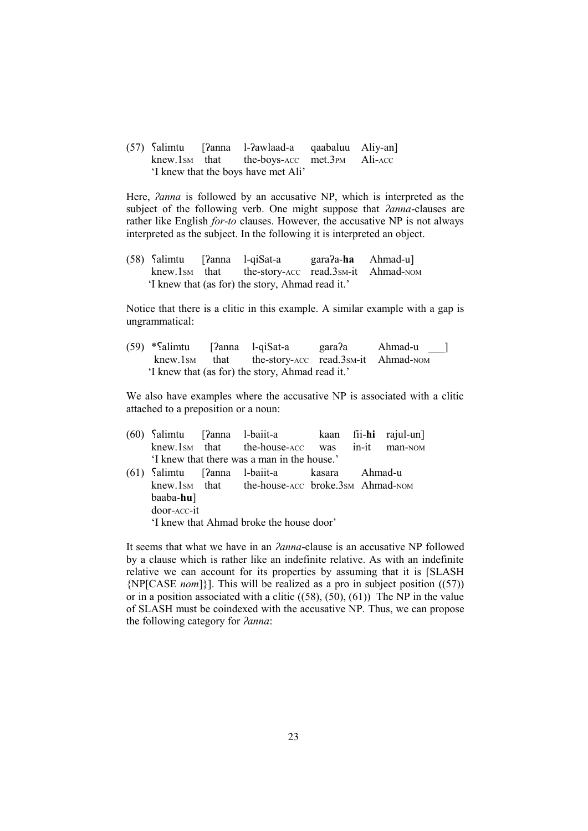(57) Salimtu [ʔanna l-ʔawlaad-a qaabaluu Aliy-an]<br>knew.1sm that the-boys-Acc met.3pm Ali-Acc knew.1sm that the-boys-ACC met.3PM Ali-ACC 'I knew that the boys have met Ali'

Here, *ʔanna* is followed by an accusative NP, which is interpreted as the subject of the following verb. One might suppose that *ʔanna*-clauses are rather like English *for*-*to* clauses. However, the accusative NP is not always interpreted as the subject. In the following it is interpreted an object.

(58) ؟alimtu [ʔanna l-qiSat-a garaʔa-**ha** Ahmad-u] knew.1sm that the-story-ACC read.3sm-it Ahmad-NOM 'I knew that (as for) the story, Ahmad read it.'

Notice that there is a clitic in this example. A similar example with a gap is ungrammatical:

(59) \*؟alimtu [ʔanna l-qiSat-a garaʔa Ahmad-u \_\_\_] knew.1sm that the-story-ACC read.3sm-it Ahmad-NOM 'I knew that (as for) the story, Ahmad read it.'

We also have examples where the accusative NP is associated with a clitic attached to a preposition or a noun:

|                                          |  | (60) Salimtu [?anna l-baiit-a kaan fii-hi rajul-un] |  |  |         |
|------------------------------------------|--|-----------------------------------------------------|--|--|---------|
|                                          |  | knew.1sm that the-house-ACC was in-it               |  |  | man-NOM |
|                                          |  | 'I knew that there was a man in the house.'         |  |  |         |
|                                          |  | (61) Salimtu [?anna l-baiit-a kasara Ahmad-u        |  |  |         |
|                                          |  | knew.1sm that the-house-ACC broke.3sm Ahmad-NOM     |  |  |         |
| $baaba-hu$ ]                             |  |                                                     |  |  |         |
| door-ACC-it                              |  |                                                     |  |  |         |
| 'I knew that Ahmad broke the house door' |  |                                                     |  |  |         |

It seems that what we have in an *ʔanna*-clause is an accusative NP followed by a clause which is rather like an indefinite relative. As with an indefinite relative we can account for its properties by assuming that it is [SLASH {NP[CASE *nom*]}]. This will be realized as a pro in subject position ((57)) or in a position associated with a clitic  $((58), (50), (61))$  The NP in the value of SLASH must be coindexed with the accusative NP. Thus, we can propose the following category for *ʔanna*: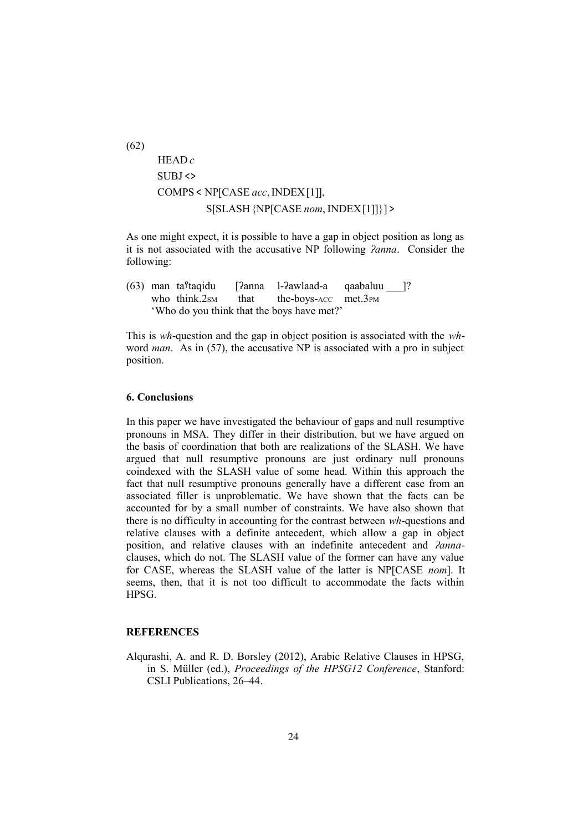(62)  $\overline{\phantom{a}}$  $\overline{1}$  $\overline{1}$  $\overline{1}$  $S[SLASH \{NP[CASE\ nom, INDEX[1]]\}] >$  $\overline{1}$ L  $\vert$  COMPS < NP[CASE *acc*, INDEX[1]], L  $\vert$  SUBJ <> L HEAD *c*

As one might expect, it is possible to have a gap in object position as long as it is not associated with the accusative NP following *ʔanna*. Consider the following:

(63) man ta؟taqidu [ʔanna l-ʔawlaad-a qaabaluu \_\_\_]? who think.2sm that the-boys-ACC met.3PM 'Who do you think that the boys have met?'

This is *wh*-question and the gap in object position is associated with the *wh*word *man*. As in (57), the accusative NP is associated with a pro in subject position.

### **6. Conclusions**

In this paper we have investigated the behaviour of gaps and null resumptive pronouns in MSA. They differ in their distribution, but we have argued on the basis of coordination that both are realizations of the SLASH. We have argued that null resumptive pronouns are just ordinary null pronouns coindexed with the SLASH value of some head. Within this approach the fact that null resumptive pronouns generally have a different case from an associated filler is unproblematic. We have shown that the facts can be accounted for by a small number of constraints. We have also shown that there is no difficulty in accounting for the contrast between *wh*-questions and relative clauses with a definite antecedent, which allow a gap in object position, and relative clauses with an indefinite antecedent and *ʔanna*clauses, which do not. The SLASH value of the former can have any value for CASE, whereas the SLASH value of the latter is NP[CASE *nom*]. It seems, then, that it is not too difficult to accommodate the facts within HPSG.

### **REFERENCES**

Alqurashi, A. and R. D. Borsley (2012), Arabic Relative Clauses in HPSG, in S. Müller (ed.), *Proceedings of the HPSG12 Conference*, Stanford: CSLI Publications, 26–44.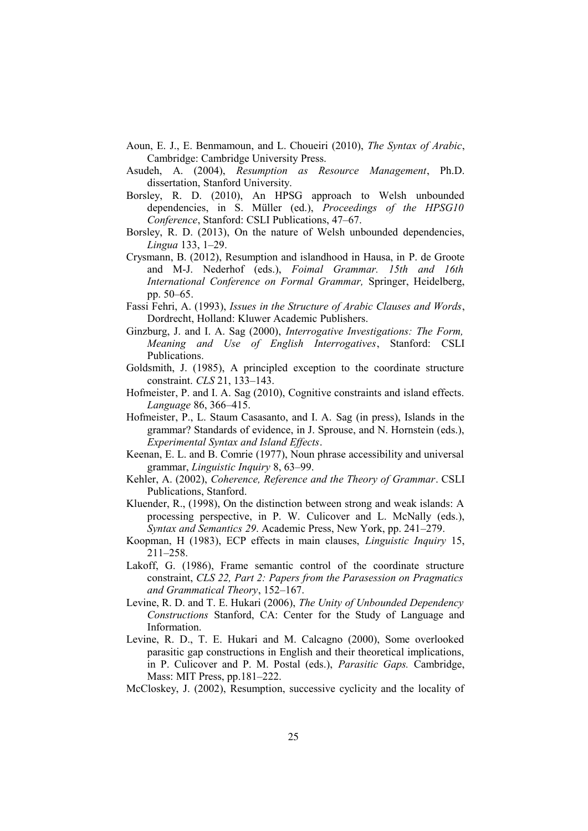- Aoun, E. J., E. Benmamoun, and L. Choueiri (2010), *The Syntax of Arabic*, Cambridge: Cambridge University Press.
- Asudeh, A. (2004), *Resumption as Resource Management*, Ph.D. dissertation, Stanford University.
- Borsley, R. D. (2010), An HPSG approach to Welsh unbounded dependencies, in S. Müller (ed.), *Proceedings of the HPSG10 Conference*, Stanford: CSLI Publications, 47–67.
- Borsley, R. D. (2013), On the nature of Welsh unbounded dependencies, *Lingua* 133, 1–29.
- Crysmann, B. (2012), Resumption and islandhood in Hausa, in P. de Groote and M-J. Nederhof (eds.), *Foimal Grammar. 15th and 16th International Conference on Formal Grammar,* Springer, Heidelberg, pp. 50–65.
- Fassi Fehri, A. (1993), *Issues in the Structure of Arabic Clauses and Words*, Dordrecht, Holland: Kluwer Academic Publishers.
- Ginzburg, J. and I. A. Sag (2000), *Interrogative Investigations: The Form, Meaning and Use of English Interrogatives*, Stanford: CSLI Publications.
- Goldsmith, J. (1985), A principled exception to the coordinate structure constraint. *CLS* 21, 133–143.
- Hofmeister, P. and I. A. Sag (2010), Cognitive constraints and island effects. *Language* 86, 366–415.
- Hofmeister, P., L. Staum Casasanto, and I. A. Sag (in press), Islands in the grammar? Standards of evidence, in J. Sprouse, and N. Hornstein (eds.), *Experimental Syntax and Island Effects*.
- Keenan, E. L. and B. Comrie (1977), Noun phrase accessibility and universal grammar, *Linguistic Inquiry* 8, 63–99.
- Kehler, A. (2002), *Coherence, Reference and the Theory of Grammar*. CSLI Publications, Stanford.
- Kluender, R., (1998), On the distinction between strong and weak islands: A processing perspective, in P. W. Culicover and L. McNally (eds.), *Syntax and Semantics 29*. Academic Press, New York, pp. 241–279.
- Koopman, H (1983), ECP effects in main clauses, *Linguistic Inquiry* 15, 211–258.
- Lakoff, G. (1986), Frame semantic control of the coordinate structure constraint, *CLS 22, Part 2: Papers from the Parasession on Pragmatics and Grammatical Theory*, 152–167.
- Levine, R. D. and T. E. Hukari (2006), *The Unity of Unbounded Dependency Constructions* Stanford, CA: Center for the Study of Language and Information.
- Levine, R. D., T. E. Hukari and M. Calcagno (2000), Some overlooked parasitic gap constructions in English and their theoretical implications, in P. Culicover and P. M. Postal (eds.), *Parasitic Gaps.* Cambridge, Mass: MIT Press, pp.181–222.
- McCloskey, J. (2002), Resumption, successive cyclicity and the locality of